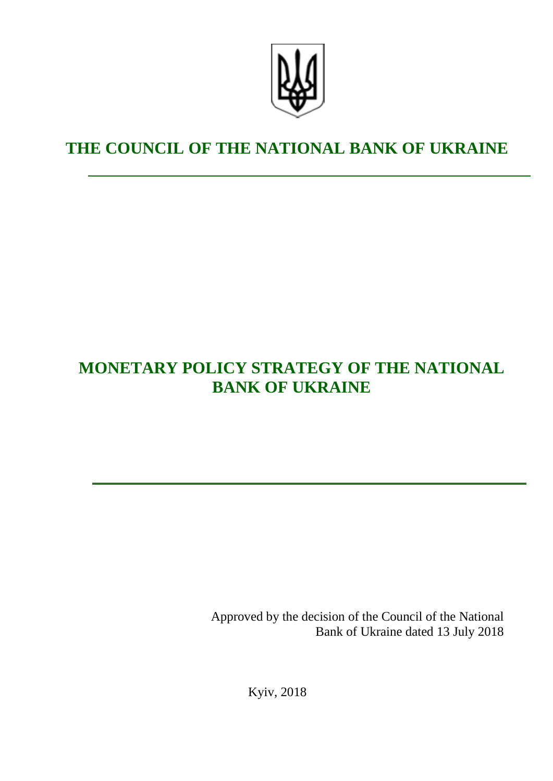

# **THE COUNCIL OF THE NATIONAL BANK OF UKRAINE**

# **MONETARY POLICY STRATEGY OF THE NATIONAL BANK OF UKRAINE**

Approved by the decision of the Council of the National Bank of Ukraine dated 13 July 2018

Kyiv, 2018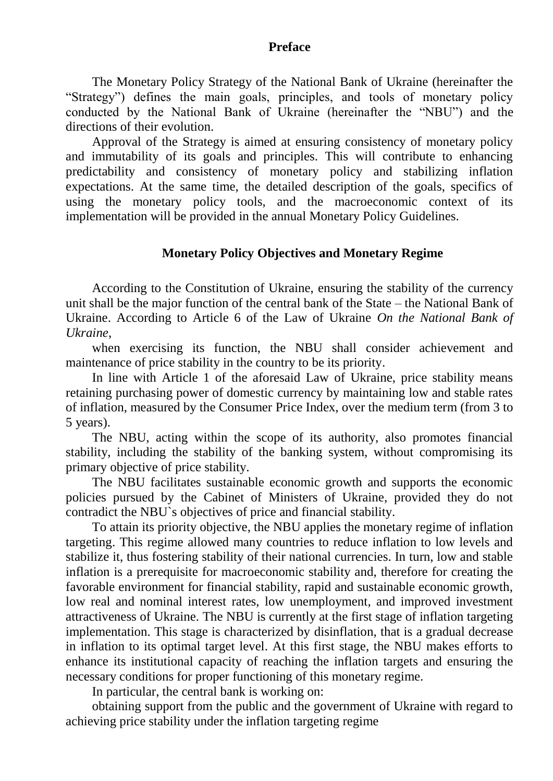#### **Preface**

The Monetary Policy Strategy of the National Bank of Ukraine (hereinafter the "Strategy") defines the main goals, principles, and tools of monetary policy conducted by the National Bank of Ukraine (hereinafter the "NBU") and the directions of their evolution.

Approval of the Strategy is aimed at ensuring consistency of monetary policy and immutability of its goals and principles. This will contribute to enhancing predictability and consistency of monetary policy and stabilizing inflation expectations. At the same time, the detailed description of the goals, specifics of using the monetary policy tools, and the macroeconomic context of its implementation will be provided in the annual Monetary Policy Guidelines.

# **Monetary Policy Objectives and Monetary Regime**

According to the Constitution of Ukraine, ensuring the stability of the currency unit shall be the major function of the central bank of the State – the National Bank of Ukraine. According to Article 6 of the Law of Ukraine *On the National Bank of Ukraine*,

when exercising its function, the NBU shall consider achievement and maintenance of price stability in the country to be its priority.

In line with Article 1 of the aforesaid Law of Ukraine, price stability means retaining purchasing power of domestic currency by maintaining low and stable rates of inflation, measured by the Consumer Price Index, over the medium term (from 3 to 5 years).

The NBU, acting within the scope of its authority, also promotes financial stability, including the stability of the banking system, without compromising its primary objective of price stability.

The NBU facilitates sustainable economic growth and supports the economic policies pursued by the Cabinet of Ministers of Ukraine, provided they do not contradict the NBU`s objectives of price and financial stability.

To attain its priority objective, the NBU applies the monetary regime of inflation targeting. This regime allowed many countries to reduce inflation to low levels and stabilize it, thus fostering stability of their national currencies. In turn, low and stable inflation is a prerequisite for macroeconomic stability and, therefore for creating the favorable environment for financial stability, rapid and sustainable economic growth, low real and nominal interest rates, low unemployment, and improved investment attractiveness of Ukraine. The NBU is currently at the first stage of inflation targeting implementation. This stage is characterized by disinflation, that is a gradual decrease in inflation to its optimal target level. At this first stage, the NBU makes efforts to enhance its institutional capacity of reaching the inflation targets and ensuring the necessary conditions for proper functioning of this monetary regime.

In particular, the central bank is working on:

obtaining support from the public and the government of Ukraine with regard to achieving price stability under the inflation targeting regime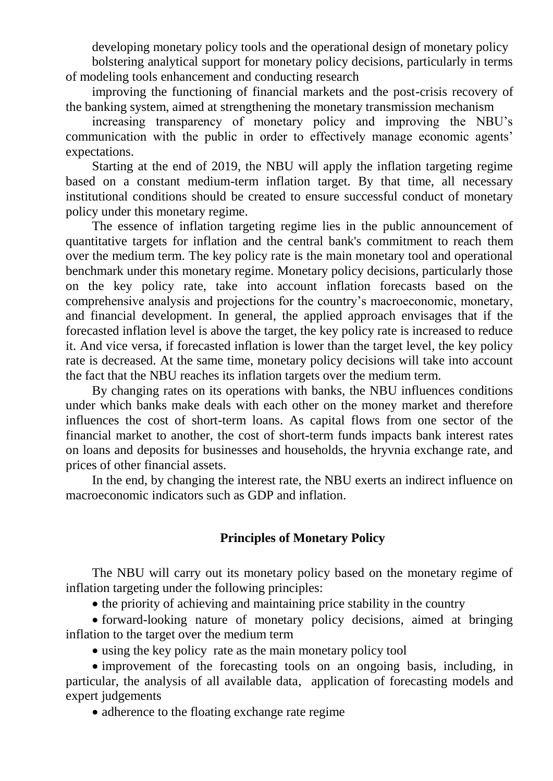developing monetary policy tools and the operational design of monetary policy bolstering analytical support for monetary policy decisions, particularly in terms of modeling tools enhancement and conducting research

improving the functioning of financial markets and the post-crisis recovery of the banking system, aimed at strengthening the monetary transmission mechanism

increasing transparency of monetary policy and improving the NBU's communication with the public in order to effectively manage economic agents' expectations.

Starting at the end of 2019, the NBU will apply the inflation targeting regime based on a constant medium-term inflation target. By that time, all necessary institutional conditions should be created to ensure successful conduct of monetary policy under this monetary regime.

The essence of inflation targeting regime lies in the public announcement of quantitative targets for inflation and the central bank's commitment to reach them over the medium term. The key policy rate is the main monetary tool and operational benchmark under this monetary regime. Monetary policy decisions, particularly those on the key policy rate, take into account inflation forecasts based on the comprehensive analysis and projections for the country's macroeconomic, monetary, and financial development. In general, the applied approach envisages that if the forecasted inflation level is above the target, the key policy rate is increased to reduce it. And vice versa, if forecasted inflation is lower than the target level, the key policy rate is decreased. At the same time, monetary policy decisions will take into account the fact that the NBU reaches its inflation targets over the medium term.

By changing rates on its operations with banks, the NBU influences conditions under which banks make deals with each other on the money market and therefore influences the cost of short-term loans. As capital flows from one sector of the financial market to another, the cost of short-term funds impacts bank interest rates on loans and deposits for businesses and households, the hryvnia exchange rate, and prices of other financial assets.

In the end, by changing the interest rate, the NBU exerts an indirect influence on macroeconomic indicators such as GDP and inflation.

# **Principles of Monetary Policy**

The NBU will carry out its monetary policy based on the monetary regime of inflation targeting under the following principles:

• the priority of achieving and maintaining price stability in the country

 forward-looking nature of monetary policy decisions, aimed at bringing inflation to the target over the medium term

using the key policy rate as the main monetary policy tool

• improvement of the forecasting tools on an ongoing basis, including, in particular, the analysis of all available data, application of forecasting models and expert judgements

• adherence to the floating exchange rate regime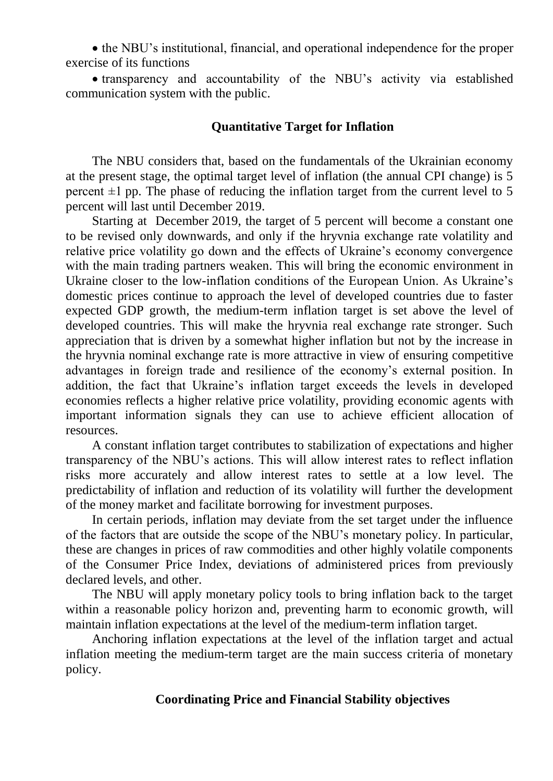• the NBU's institutional, financial, and operational independence for the proper exercise of its functions

 transparency and accountability of the NBU's activity via established communication system with the public.

# **Quantitative Target for Inflation**

The NBU considers that, based on the fundamentals of the Ukrainian economy at the present stage, the optimal target level of inflation (the annual CPI change) is 5 percent  $\pm 1$  pp. The phase of reducing the inflation target from the current level to 5 percent will last until December 2019.

Starting at December 2019, the target of 5 percent will become a constant one to be revised only downwards, and only if the hryvnia exchange rate volatility and relative price volatility go down and the effects of Ukraine's economy convergence with the main trading partners weaken. This will bring the economic environment in Ukraine closer to the low-inflation conditions of the European Union. As Ukraine's domestic prices continue to approach the level of developed countries due to faster expected GDP growth, the medium-term inflation target is set above the level of developed countries. This will make the hryvnia real exchange rate stronger. Such appreciation that is driven by a somewhat higher inflation but not by the increase in the hryvnia nominal exchange rate is more attractive in view of ensuring competitive advantages in foreign trade and resilience of the economy's external position. In addition, the fact that Ukraine's inflation target exceeds the levels in developed economies reflects a higher relative price volatility, providing economic agents with important information signals they can use to achieve efficient allocation of resources.

A constant inflation target contributes to stabilization of expectations and higher transparency of the NBU's actions. This will allow interest rates to reflect inflation risks more accurately and allow interest rates to settle at a low level. The predictability of inflation and reduction of its volatility will further the development of the money market and facilitate borrowing for investment purposes.

In certain periods, inflation may deviate from the set target under the influence of the factors that are outside the scope of the NBU's monetary policy. In particular, these are changes in prices of raw commodities and other highly volatile components of the Consumer Price Index, deviations of administered prices from previously declared levels, and other.

The NBU will apply monetary policy tools to bring inflation back to the target within a reasonable policy horizon and, preventing harm to economic growth, will maintain inflation expectations at the level of the medium-term inflation target.

Anchoring inflation expectations at the level of the inflation target and actual inflation meeting the medium-term target are the main success criteria of monetary policy.

#### **Coordinating Price and Financial Stability objectives**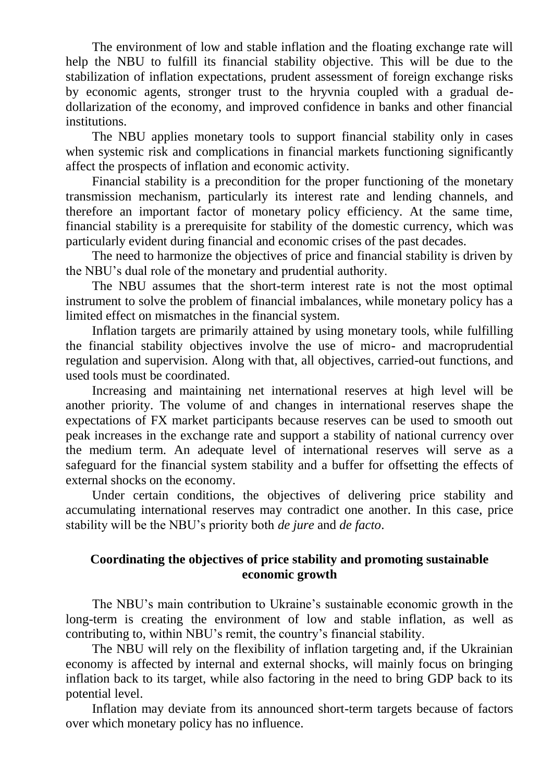The environment of low and stable inflation and the floating exchange rate will help the NBU to fulfill its financial stability objective. This will be due to the stabilization of inflation expectations, prudent assessment of foreign exchange risks by economic agents, stronger trust to the hryvnia coupled with a gradual dedollarization of the economy, and improved confidence in banks and other financial institutions.

The NBU applies monetary tools to support financial stability only in cases when systemic risk and complications in financial markets functioning significantly affect the prospects of inflation and economic activity.

Financial stability is a precondition for the proper functioning of the monetary transmission mechanism, particularly its interest rate and lending channels, and therefore an important factor of monetary policy efficiency. At the same time, financial stability is a prerequisite for stability of the domestic currency, which was particularly evident during financial and economic crises of the past decades.

The need to harmonize the objectives of price and financial stability is driven by the NBU's dual role of the monetary and prudential authority.

The NBU assumes that the short-term interest rate is not the most optimal instrument to solve the problem of financial imbalances, while monetary policy has a limited effect on mismatches in the financial system.

Inflation targets are primarily attained by using monetary tools, while fulfilling the financial stability objectives involve the use of micro- and macroprudential regulation and supervision. Along with that, all objectives, carried-out functions, and used tools must be coordinated.

Increasing and maintaining net international reserves at high level will be another priority. The volume of and changes in international reserves shape the expectations of FX market participants because reserves can be used to smooth out peak increases in the exchange rate and support a stability of national currency over the medium term. An adequate level of international reserves will serve as a safeguard for the financial system stability and a buffer for offsetting the effects of external shocks on the economy.

Under certain conditions, the objectives of delivering price stability and accumulating international reserves may contradict one another. In this case, price stability will be the NBU's priority both *de jure* and *de facto*.

# **Coordinating the objectives of price stability and promoting sustainable economic growth**

The NBU's main contribution to Ukraine's sustainable economic growth in the long-term is creating the environment of low and stable inflation, as well as contributing to, within NBU's remit, the country's financial stability.

The NBU will rely on the flexibility of inflation targeting and, if the Ukrainian economy is affected by internal and external shocks, will mainly focus on bringing inflation back to its target, while also factoring in the need to bring GDP back to its potential level.

Inflation may deviate from its announced short-term targets because of factors over which monetary policy has no influence.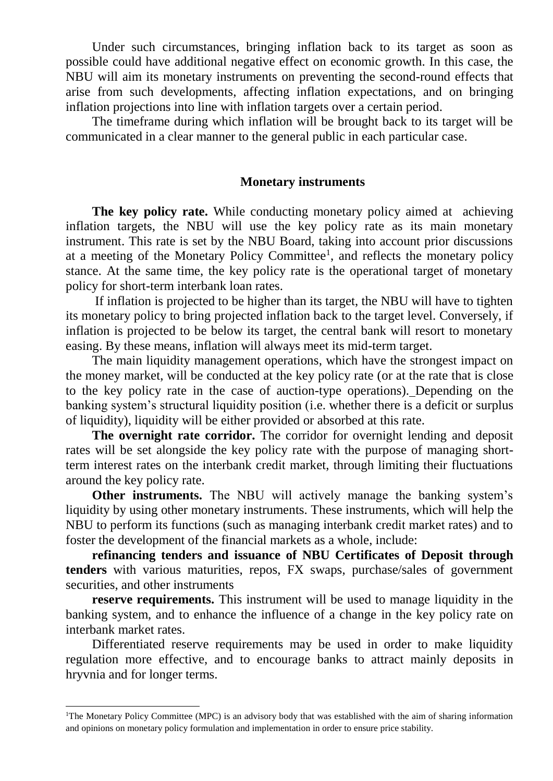Under such circumstances, bringing inflation back to its target as soon as possible could have additional negative effect on economic growth. In this case, the NBU will aim its monetary instruments on preventing the second-round effects that arise from such developments, affecting inflation expectations, and on bringing inflation projections into line with inflation targets over a certain period.

The timeframe during which inflation will be brought back to its target will be communicated in a clear manner to the general public in each particular case.

#### **Monetary instruments**

**The key policy rate.** While conducting monetary policy aimed at achieving inflation targets, the NBU will use the key policy rate as its main monetary instrument. This rate is set by the NBU Board, taking into account prior discussions at a meeting of the Monetary Policy Committee<sup>1</sup>, and reflects the monetary policy stance. At the same time, the key policy rate is the operational target of monetary policy for short-term interbank loan rates.

If inflation is projected to be higher than its target, the NBU will have to tighten its monetary policy to bring projected inflation back to the target level. Conversely, if inflation is projected to be below its target, the central bank will resort to monetary easing. By these means, inflation will always meet its mid-term target.

The main liquidity management operations, which have the strongest impact on the money market, will be conducted at the key policy rate (or at the rate that is close to the key policy rate in the case of auction-type operations). Depending on the banking system's structural liquidity position (i.e. whether there is a deficit or surplus of liquidity), liquidity will be either provided or absorbed at this rate.

**The overnight rate corridor.** The corridor for overnight lending and deposit rates will be set alongside the key policy rate with the purpose of managing shortterm interest rates on the interbank credit market, through limiting their fluctuations around the key policy rate.

**Other instruments.** The NBU will actively manage the banking system's liquidity by using other monetary instruments. These instruments, which will help the NBU to perform its functions (such as managing interbank credit market rates) and to foster the development of the financial markets as a whole, include:

**refinancing tenders and issuance of NBU Certificates of Deposit through tenders** with various maturities, repos, FX swaps, purchase/sales of government securities, and other instruments

**reserve requirements.** This instrument will be used to manage liquidity in the banking system, and to enhance the influence of a change in the key policy rate on interbank market rates.

Differentiated reserve requirements may be used in order to make liquidity regulation more effective, and to encourage banks to attract mainly deposits in hryvnia and for longer terms.

**.** 

<sup>&</sup>lt;sup>1</sup>The Monetary Policy Committee (MPC) is an advisory body that was established with the aim of sharing information and opinions on monetary policy formulation and implementation in order to ensure price stability.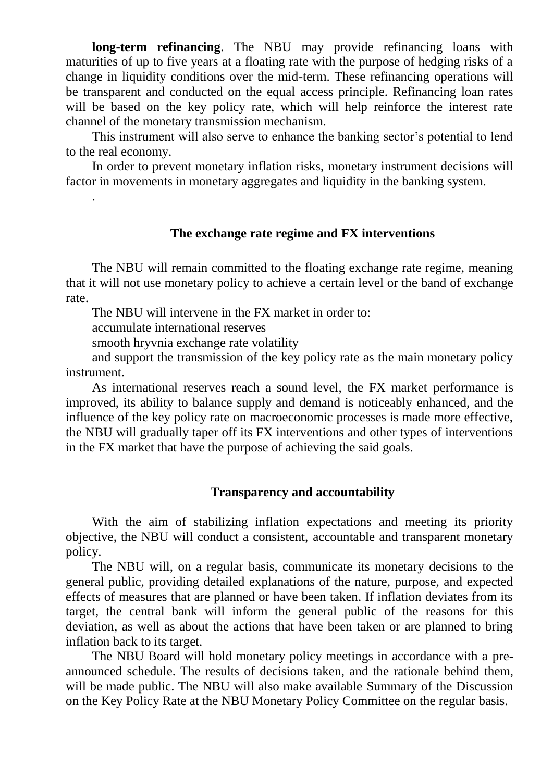**long-term refinancing**. The NBU may provide refinancing loans with maturities of up to five years at a floating rate with the purpose of hedging risks of a change in liquidity conditions over the mid-term. These refinancing operations will be transparent and conducted on the equal access principle. Refinancing loan rates will be based on the key policy rate, which will help reinforce the interest rate channel of the monetary transmission mechanism.

This instrument will also serve to enhance the banking sector's potential to lend to the real economy.

In order to prevent monetary inflation risks, monetary instrument decisions will factor in movements in monetary aggregates and liquidity in the banking system.

#### **The exchange rate regime and FX interventions**

The NBU will remain committed to the floating exchange rate regime, meaning that it will not use monetary policy to achieve a certain level or the band of exchange rate.

The NBU will intervene in the FX market in order to:

accumulate international reserves

.

smooth hryvnia exchange rate volatility

and support the transmission of the key policy rate as the main monetary policy instrument.

As international reserves reach a sound level, the FX market performance is improved, its ability to balance supply and demand is noticeably enhanced, and the influence of the key policy rate on macroeconomic processes is made more effective, the NBU will gradually taper off its FX interventions and other types of interventions in the FX market that have the purpose of achieving the said goals.

# **Transparency and accountability**

With the aim of stabilizing inflation expectations and meeting its priority objective, the NBU will conduct a consistent, accountable and transparent monetary policy.

The NBU will, on a regular basis, communicate its monetary decisions to the general public, providing detailed explanations of the nature, purpose, and expected effects of measures that are planned or have been taken. If inflation deviates from its target, the central bank will inform the general public of the reasons for this deviation, as well as about the actions that have been taken or are planned to bring inflation back to its target.

The NBU Board will hold monetary policy meetings in accordance with a preannounced schedule. The results of decisions taken, and the rationale behind them, will be made public. The NBU will also make available Summary of the Discussion on the Key Policy Rate at the NBU Monetary Policy Committee on the regular basis.